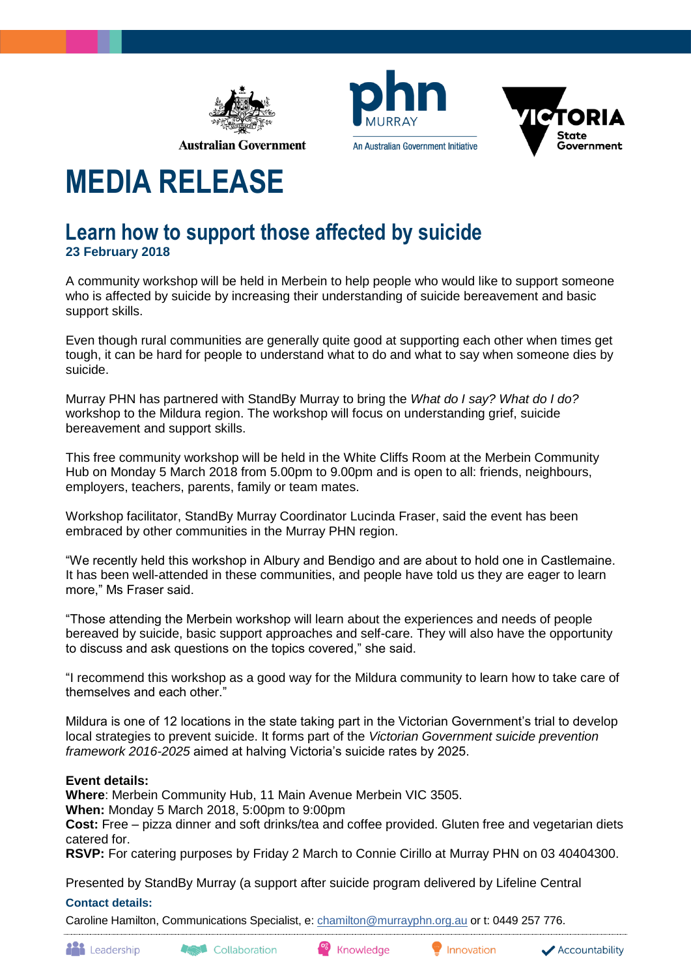

An Australian Government Initiative



# **MEDIA RELEASE**

## **Learn how to support those affected by suicide 23 February 2018**

A community workshop will be held in Merbein to help people who would like to support someone who is affected by suicide by increasing their understanding of suicide bereavement and basic support skills.

Even though rural communities are generally quite good at supporting each other when times get tough, it can be hard for people to understand what to do and what to say when someone dies by suicide.

Murray PHN has partnered with StandBy Murray to bring the *What do I say? What do I do?*  workshop to the Mildura region. The workshop will focus on understanding grief, suicide bereavement and support skills.

This free community workshop will be held in the White Cliffs Room at the Merbein Community Hub on Monday 5 March 2018 from 5.00pm to 9.00pm and is open to all: friends, neighbours, employers, teachers, parents, family or team mates.

Workshop facilitator, StandBy Murray Coordinator Lucinda Fraser, said the event has been embraced by other communities in the Murray PHN region.

"We recently held this workshop in Albury and Bendigo and are about to hold one in Castlemaine. It has been well-attended in these communities, and people have told us they are eager to learn more," Ms Fraser said.

"Those attending the Merbein workshop will learn about the experiences and needs of people bereaved by suicide, basic support approaches and self-care. They will also have the opportunity to discuss and ask questions on the topics covered," she said.

"I recommend this workshop as a good way for the Mildura community to learn how to take care of themselves and each other."

Mildura is one of 12 locations in the state taking part in the Victorian Government's trial to develop local strategies to prevent suicide. It forms part of the *Victorian Government suicide prevention framework 2016-2025* aimed at halving Victoria's suicide rates by 2025.

### **Event details:**

**Where**: Merbein Community Hub, 11 Main Avenue Merbein VIC 3505.

**When:** Monday 5 March 2018, 5:00pm to 9:00pm

**Cost:** Free – pizza dinner and soft drinks/tea and coffee provided. Gluten free and vegetarian diets catered for.

**RSVP:** For catering purposes by Friday 2 March to Connie Cirillo at Murray PHN on 03 40404300.

Presented by StandBy Murray (a support after suicide program delivered by Lifeline Central

### **Contact details:**

Caroline Hamilton, Communications Specialist, e: [chamilton@murrayphn.org.au](mailto:chamilton@murrayphn.org.au) or t: 0449 257 776.